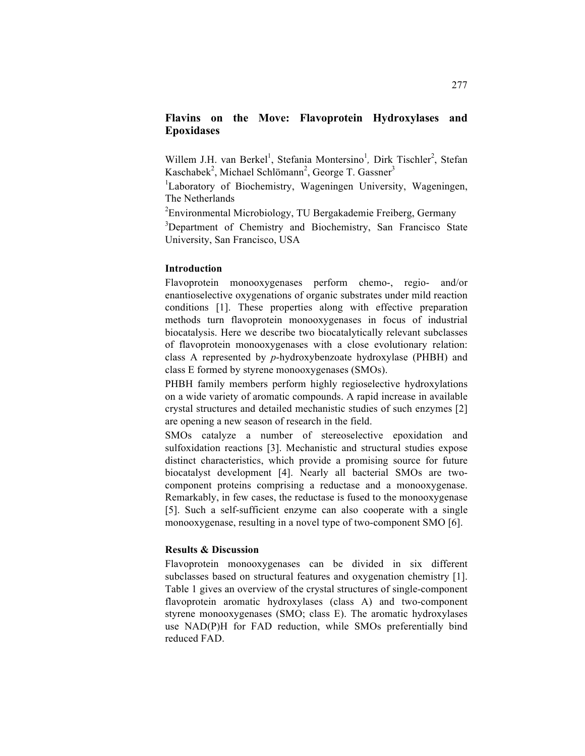# **Flavins on the Move: Flavoprotein Hydroxylases and Epoxidases**

Willem J.H. van Berkel<sup>1</sup>, Stefania Montersino<sup>1</sup>, Dirk Tischler<sup>2</sup>, Stefan Kaschabek<sup>2</sup>, Michael Schlömann<sup>2</sup>, George T. Gassner<sup>3</sup>

<sup>1</sup>Laboratory of Biochemistry, Wageningen University, Wageningen, The Netherlands

<sup>2</sup> Environmental Microbiology, TU Bergakademie Freiberg, Germany

<sup>3</sup>Department of Chemistry and Biochemistry, San Francisco State University, San Francisco, USA

## **Introduction**

Flavoprotein monooxygenases perform chemo-, regio- and/or enantioselective oxygenations of organic substrates under mild reaction conditions [1]. These properties along with effective preparation methods turn flavoprotein monooxygenases in focus of industrial biocatalysis. Here we describe two biocatalytically relevant subclasses of flavoprotein monooxygenases with a close evolutionary relation: class A represented by *p*-hydroxybenzoate hydroxylase (PHBH) and class E formed by styrene monooxygenases (SMOs).

PHBH family members perform highly regioselective hydroxylations on a wide variety of aromatic compounds. A rapid increase in available crystal structures and detailed mechanistic studies of such enzymes [2] are opening a new season of research in the field.

SMOs catalyze a number of stereoselective epoxidation and sulfoxidation reactions [3]. Mechanistic and structural studies expose distinct characteristics, which provide a promising source for future biocatalyst development [4]. Nearly all bacterial SMOs are twocomponent proteins comprising a reductase and a monooxygenase. Remarkably, in few cases, the reductase is fused to the monooxygenase [5]. Such a self-sufficient enzyme can also cooperate with a single monooxygenase, resulting in a novel type of two-component SMO [6].

#### **Results & Discussion**

Flavoprotein monooxygenases can be divided in six different subclasses based on structural features and oxygenation chemistry [1]. Table 1 gives an overview of the crystal structures of single-component flavoprotein aromatic hydroxylases (class A) and two-component styrene monooxygenases (SMO; class E). The aromatic hydroxylases use NAD(P)H for FAD reduction, while SMOs preferentially bind reduced FAD.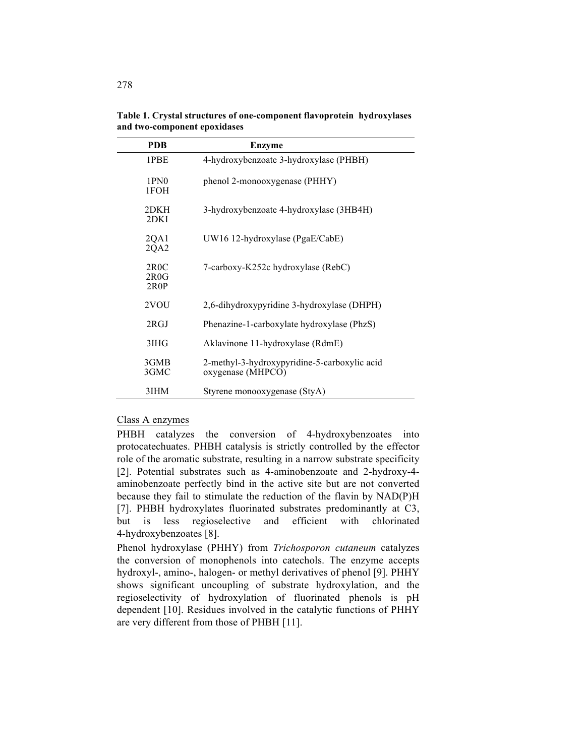| <b>PDB</b>               | <b>Enzyme</b>                                                     |
|--------------------------|-------------------------------------------------------------------|
| 1PBE                     | 4-hydroxybenzoate 3-hydroxylase (PHBH)                            |
| 1PN <sub>0</sub><br>1FOH | phenol 2-monooxygenase (PHHY)                                     |
| 2DKH<br>2DKI             | 3-hydroxybenzoate 4-hydroxylase (3HB4H)                           |
| 2QA1<br>2QA2             | $UW16$ 12-hydroxylase (PgaE/CabE)                                 |
| 2R0C<br>2R0G<br>2R0P     | 7-carboxy-K252c hydroxylase (RebC)                                |
| 2VOU                     | 2,6-dihydroxypyridine 3-hydroxylase (DHPH)                        |
| 2RGJ                     | Phenazine-1-carboxylate hydroxylase (PhzS)                        |
| 3IHG                     | Aklavinone 11-hydroxylase (RdmE)                                  |
| 3GMB<br>3GMC             | 2-methyl-3-hydroxypyridine-5-carboxylic acid<br>oxygenase (MHPCO) |
| 3IHM                     | Styrene monooxygenase (StyA)                                      |

**Table 1. Crystal structures of one-component flavoprotein hydroxylases and two-component epoxidases**

## Class A enzymes

PHBH catalyzes the conversion of 4-hydroxybenzoates into protocatechuates. PHBH catalysis is strictly controlled by the effector role of the aromatic substrate, resulting in a narrow substrate specificity [2]. Potential substrates such as 4-aminobenzoate and 2-hydroxy-4 aminobenzoate perfectly bind in the active site but are not converted because they fail to stimulate the reduction of the flavin by NAD(P)H [7]. PHBH hydroxylates fluorinated substrates predominantly at C3, but is less regioselective and efficient with chlorinated 4-hydroxybenzoates [8].

Phenol hydroxylase (PHHY) from *Trichosporon cutaneum* catalyzes the conversion of monophenols into catechols. The enzyme accepts hydroxyl-, amino-, halogen- or methyl derivatives of phenol [9]. PHHY shows significant uncoupling of substrate hydroxylation, and the regioselectivity of hydroxylation of fluorinated phenols is pH dependent [10]. Residues involved in the catalytic functions of PHHY are very different from those of PHBH [11].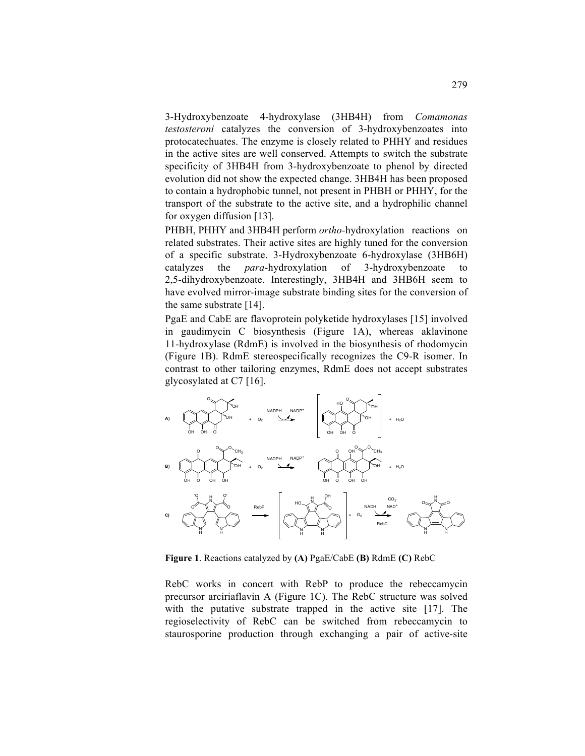3-Hydroxybenzoate 4-hydroxylase (3HB4H) from *Comamonas testosteroni* catalyzes the conversion of 3-hydroxybenzoates into protocatechuates. The enzyme is closely related to PHHY and residues in the active sites are well conserved. Attempts to switch the substrate specificity of 3HB4H from 3-hydroxybenzoate to phenol by directed evolution did not show the expected change. 3HB4H has been proposed to contain a hydrophobic tunnel, not present in PHBH or PHHY, for the transport of the substrate to the active site, and a hydrophilic channel for oxygen diffusion [13].

PHBH, PHHY and 3HB4H perform *ortho-*hydroxylation reactions on related substrates. Their active sites are highly tuned for the conversion of a specific substrate. 3-Hydroxybenzoate 6-hydroxylase (3HB6H) catalyzes the *para*-hydroxylation of 3-hydroxybenzoate to 2,5-dihydroxybenzoate. Interestingly, 3HB4H and 3HB6H seem to have evolved mirror-image substrate binding sites for the conversion of the same substrate [14].

PgaE and CabE are flavoprotein polyketide hydroxylases [15] involved in gaudimycin C biosynthesis (Figure 1A), whereas aklavinone 11-hydroxylase (RdmE) is involved in the biosynthesis of rhodomycin (Figure 1B). RdmE stereospecifically recognizes the C9-R isomer. In contrast to other tailoring enzymes, RdmE does not accept substrates glycosylated at C7 [16].



**Figure 1**. Reactions catalyzed by **(A)** PgaE/CabE **(B)** RdmE **(C)** RebC

RebC works in concert with RebP to produce the rebeccamycin precursor arciriaflavin A (Figure 1C). The RebC structure was solved with the putative substrate trapped in the active site [17]. The regioselectivity of RebC can be switched from rebeccamycin to staurosporine production through exchanging a pair of active-site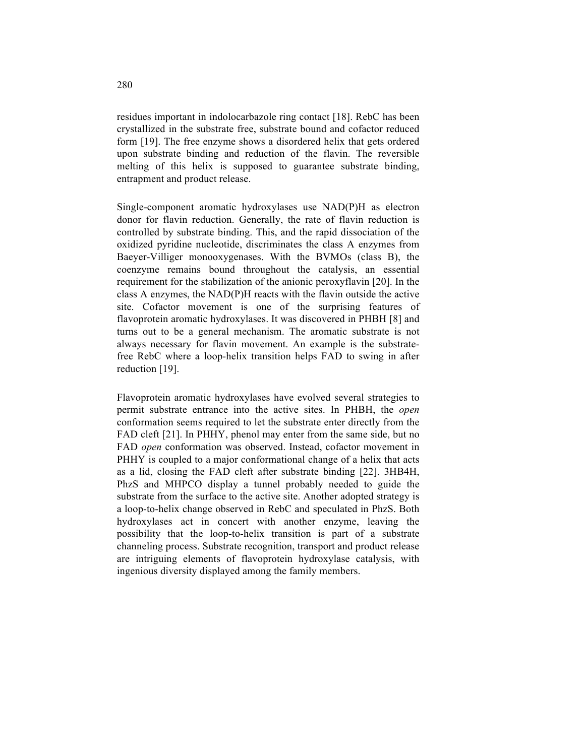residues important in indolocarbazole ring contact [18]. RebC has been crystallized in the substrate free, substrate bound and cofactor reduced form [19]. The free enzyme shows a disordered helix that gets ordered upon substrate binding and reduction of the flavin. The reversible melting of this helix is supposed to guarantee substrate binding, entrapment and product release.

Single-component aromatic hydroxylases use NAD(P)H as electron donor for flavin reduction. Generally, the rate of flavin reduction is controlled by substrate binding. This, and the rapid dissociation of the oxidized pyridine nucleotide, discriminates the class A enzymes from Baeyer-Villiger monooxygenases. With the BVMOs (class B), the coenzyme remains bound throughout the catalysis, an essential requirement for the stabilization of the anionic peroxyflavin [20]. In the class A enzymes, the NAD(P)H reacts with the flavin outside the active site. Cofactor movement is one of the surprising features of flavoprotein aromatic hydroxylases. It was discovered in PHBH [8] and turns out to be a general mechanism. The aromatic substrate is not always necessary for flavin movement. An example is the substratefree RebC where a loop-helix transition helps FAD to swing in after reduction [19].

Flavoprotein aromatic hydroxylases have evolved several strategies to permit substrate entrance into the active sites. In PHBH, the *open* conformation seems required to let the substrate enter directly from the FAD cleft [21]. In PHHY, phenol may enter from the same side, but no FAD *open* conformation was observed. Instead, cofactor movement in PHHY is coupled to a major conformational change of a helix that acts as a lid, closing the FAD cleft after substrate binding [22]. 3HB4H, PhzS and MHPCO display a tunnel probably needed to guide the substrate from the surface to the active site. Another adopted strategy is a loop-to-helix change observed in RebC and speculated in PhzS. Both hydroxylases act in concert with another enzyme, leaving the possibility that the loop-to-helix transition is part of a substrate channeling process. Substrate recognition, transport and product release are intriguing elements of flavoprotein hydroxylase catalysis, with ingenious diversity displayed among the family members.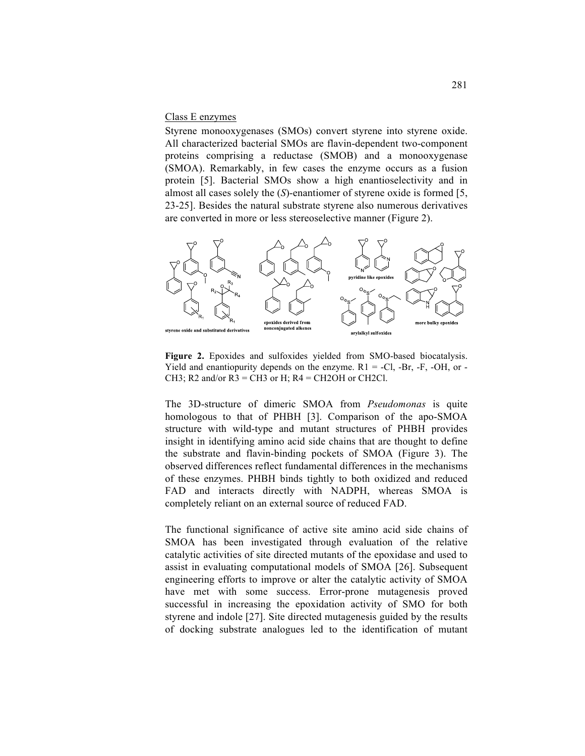## Class E enzymes

Styrene monooxygenases (SMOs) convert styrene into styrene oxide. All characterized bacterial SMOs are flavin-dependent two-component proteins comprising a reductase (SMOB) and a monooxygenase (SMOA). Remarkably, in few cases the enzyme occurs as a fusion protein [5]. Bacterial SMOs show a high enantioselectivity and in almost all cases solely the (*S*)-enantiomer of styrene oxide is formed [5, 23-25]. Besides the natural substrate styrene also numerous derivatives are converted in more or less stereoselective manner (Figure 2).



**Figure 2.** Epoxides and sulfoxides yielded from SMO-based biocatalysis. Yield and enantiopurity depends on the enzyme.  $R1 = -Cl$ ,  $-Br$ ,  $-F$ ,  $-OH$ , or  $-$ CH3; R2 and/or  $R3 = CH3$  or H;  $R4 = CH2OH$  or CH2Cl.

The 3D-structure of dimeric SMOA from *Pseudomonas* is quite homologous to that of PHBH [3]. Comparison of the apo-SMOA structure with wild-type and mutant structures of PHBH provides insight in identifying amino acid side chains that are thought to define the substrate and flavin-binding pockets of SMOA (Figure 3). The observed differences reflect fundamental differences in the mechanisms of these enzymes. PHBH binds tightly to both oxidized and reduced FAD and interacts directly with NADPH, whereas SMOA is completely reliant on an external source of reduced FAD.

The functional significance of active site amino acid side chains of SMOA has been investigated through evaluation of the relative catalytic activities of site directed mutants of the epoxidase and used to assist in evaluating computational models of SMOA [26]. Subsequent engineering efforts to improve or alter the catalytic activity of SMOA have met with some success. Error-prone mutagenesis proved successful in increasing the epoxidation activity of SMO for both styrene and indole [27]. Site directed mutagenesis guided by the results of docking substrate analogues led to the identification of mutant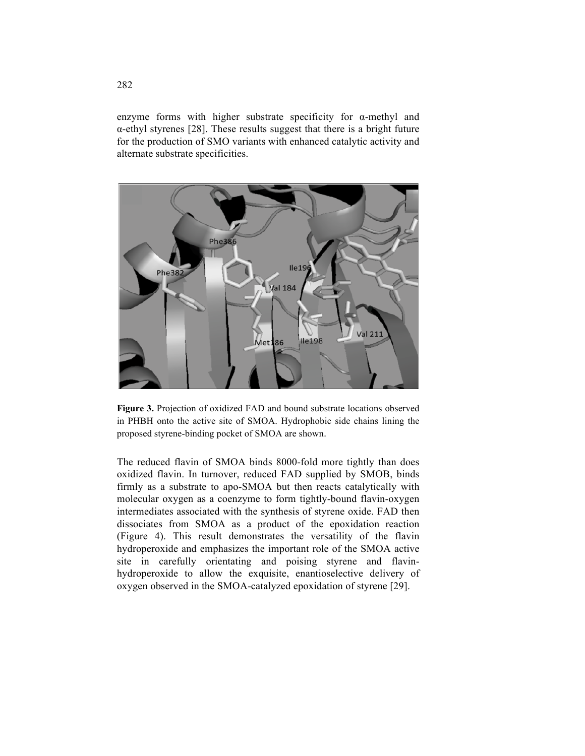enzyme forms with higher substrate specificity for α-methyl and α-ethyl styrenes [28]. These results suggest that there is a bright future for the production of SMO variants with enhanced catalytic activity and alternate substrate specificities.



**Figure 3.** Projection of oxidized FAD and bound substrate locations observed in PHBH onto the active site of SMOA. Hydrophobic side chains lining the proposed styrene-binding pocket of SMOA are shown.

The reduced flavin of SMOA binds 8000-fold more tightly than does oxidized flavin. In turnover, reduced FAD supplied by SMOB, binds firmly as a substrate to apo-SMOA but then reacts catalytically with molecular oxygen as a coenzyme to form tightly-bound flavin-oxygen intermediates associated with the synthesis of styrene oxide. FAD then dissociates from SMOA as a product of the epoxidation reaction (Figure 4). This result demonstrates the versatility of the flavin hydroperoxide and emphasizes the important role of the SMOA active site in carefully orientating and poising styrene and flavinhydroperoxide to allow the exquisite, enantioselective delivery of oxygen observed in the SMOA-catalyzed epoxidation of styrene [29].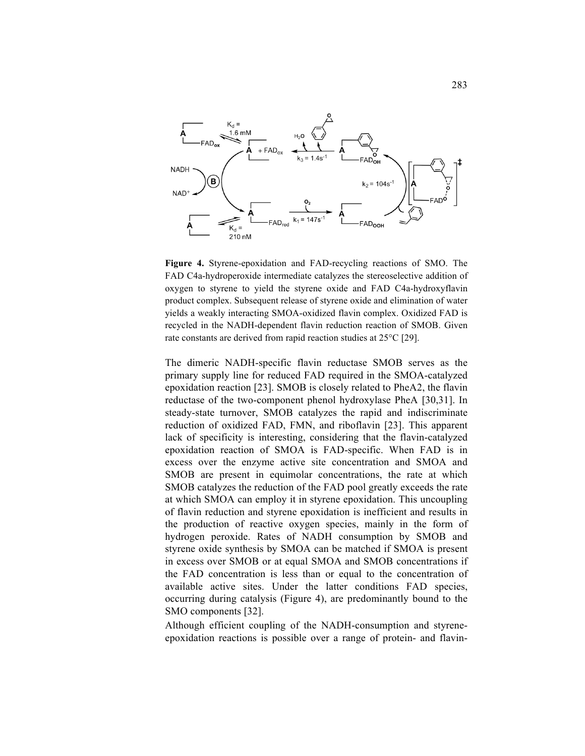

**Figure 4.** Styrene-epoxidation and FAD-recycling reactions of SMO. The FAD C4a-hydroperoxide intermediate catalyzes the stereoselective addition of oxygen to styrene to yield the styrene oxide and FAD C4a-hydroxyflavin product complex. Subsequent release of styrene oxide and elimination of water yields a weakly interacting SMOA-oxidized flavin complex. Oxidized FAD is recycled in the NADH-dependent flavin reduction reaction of SMOB. Given rate constants are derived from rapid reaction studies at 25°C [29].

The dimeric NADH-specific flavin reductase SMOB serves as the primary supply line for reduced FAD required in the SMOA-catalyzed epoxidation reaction [23]. SMOB is closely related to PheA2, the flavin reductase of the two-component phenol hydroxylase PheA [30,31]. In steady-state turnover, SMOB catalyzes the rapid and indiscriminate reduction of oxidized FAD, FMN, and riboflavin [23]. This apparent lack of specificity is interesting, considering that the flavin-catalyzed epoxidation reaction of SMOA is FAD-specific. When FAD is in excess over the enzyme active site concentration and SMOA and SMOB are present in equimolar concentrations, the rate at which SMOB catalyzes the reduction of the FAD pool greatly exceeds the rate at which SMOA can employ it in styrene epoxidation. This uncoupling of flavin reduction and styrene epoxidation is inefficient and results in the production of reactive oxygen species, mainly in the form of hydrogen peroxide. Rates of NADH consumption by SMOB and styrene oxide synthesis by SMOA can be matched if SMOA is present in excess over SMOB or at equal SMOA and SMOB concentrations if the FAD concentration is less than or equal to the concentration of available active sites. Under the latter conditions FAD species, occurring during catalysis (Figure 4), are predominantly bound to the SMO components [32].

Although efficient coupling of the NADH-consumption and styreneepoxidation reactions is possible over a range of protein- and flavin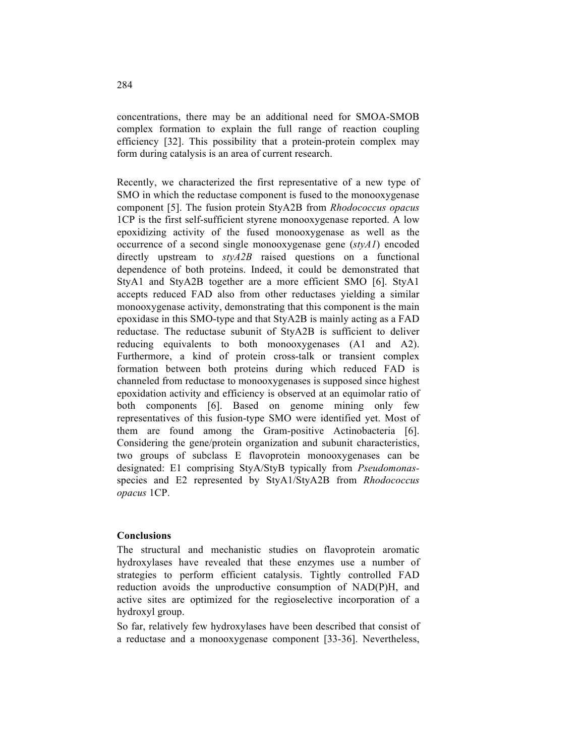concentrations, there may be an additional need for SMOA-SMOB complex formation to explain the full range of reaction coupling efficiency [32]. This possibility that a protein-protein complex may form during catalysis is an area of current research.

Recently, we characterized the first representative of a new type of SMO in which the reductase component is fused to the monooxygenase component [5]. The fusion protein StyA2B from *Rhodococcus opacus* 1CP is the first self-sufficient styrene monooxygenase reported. A low epoxidizing activity of the fused monooxygenase as well as the occurrence of a second single monooxygenase gene (*styA1*) encoded directly upstream to *styA2B* raised questions on a functional dependence of both proteins. Indeed, it could be demonstrated that StyA1 and StyA2B together are a more efficient SMO [6]. StyA1 accepts reduced FAD also from other reductases yielding a similar monooxygenase activity, demonstrating that this component is the main epoxidase in this SMO-type and that StyA2B is mainly acting as a FAD reductase. The reductase subunit of StyA2B is sufficient to deliver reducing equivalents to both monooxygenases (A1 and A2). Furthermore, a kind of protein cross-talk or transient complex formation between both proteins during which reduced FAD is channeled from reductase to monooxygenases is supposed since highest epoxidation activity and efficiency is observed at an equimolar ratio of both components [6]. Based on genome mining only few representatives of this fusion-type SMO were identified yet. Most of them are found among the Gram-positive Actinobacteria [6]. Considering the gene/protein organization and subunit characteristics, two groups of subclass E flavoprotein monooxygenases can be designated: E1 comprising StyA/StyB typically from *Pseudomonas*species and E2 represented by StyA1/StyA2B from *Rhodococcus opacus* 1CP.

#### **Conclusions**

The structural and mechanistic studies on flavoprotein aromatic hydroxylases have revealed that these enzymes use a number of strategies to perform efficient catalysis. Tightly controlled FAD reduction avoids the unproductive consumption of NAD(P)H, and active sites are optimized for the regioselective incorporation of a hydroxyl group.

So far, relatively few hydroxylases have been described that consist of a reductase and a monooxygenase component [33-36]. Nevertheless,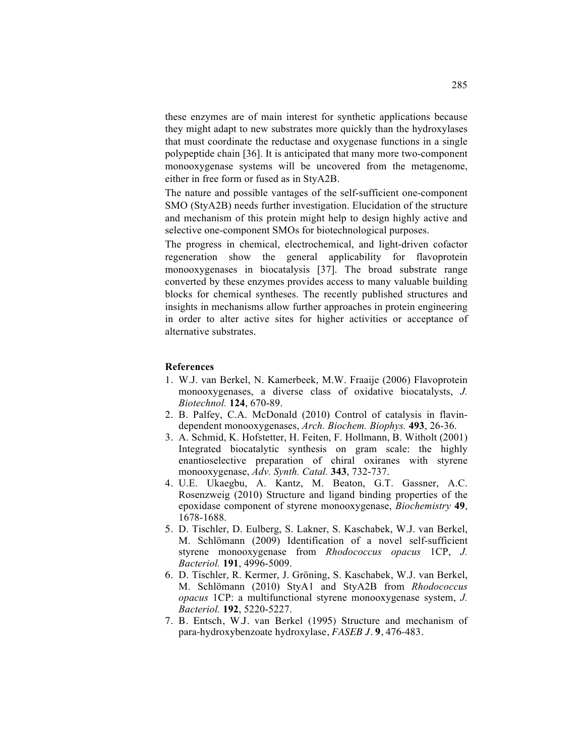these enzymes are of main interest for synthetic applications because they might adapt to new substrates more quickly than the hydroxylases that must coordinate the reductase and oxygenase functions in a single polypeptide chain [36]. It is anticipated that many more two-component monooxygenase systems will be uncovered from the metagenome, either in free form or fused as in StyA2B.

The nature and possible vantages of the self-sufficient one-component SMO (StyA2B) needs further investigation. Elucidation of the structure and mechanism of this protein might help to design highly active and selective one-component SMOs for biotechnological purposes.

The progress in chemical, electrochemical, and light-driven cofactor regeneration show the general applicability for flavoprotein monooxygenases in biocatalysis [37]. The broad substrate range converted by these enzymes provides access to many valuable building blocks for chemical syntheses. The recently published structures and insights in mechanisms allow further approaches in protein engineering in order to alter active sites for higher activities or acceptance of alternative substrates.

#### **References**

- 1. W.J. van Berkel, N. Kamerbeek, M.W. Fraaije (2006) Flavoprotein monooxygenases, a diverse class of oxidative biocatalysts, *J. Biotechnol.* **124**, 670-89.
- 2. B. Palfey, C.A. McDonald (2010) Control of catalysis in flavindependent monooxygenases, *Arch. Biochem. Biophys.* **493**, 26-36.
- 3. A. Schmid, K. Hofstetter, H. Feiten, F. Hollmann, B. Witholt (2001) Integrated biocatalytic synthesis on gram scale: the highly enantioselective preparation of chiral oxiranes with styrene monooxygenase, *Adv. Synth. Catal.* **343**, 732-737.
- 4. U.E. Ukaegbu, A. Kantz, M. Beaton, G.T. Gassner, A.C. Rosenzweig (2010) Structure and ligand binding properties of the epoxidase component of styrene monooxygenase, *Biochemistry* **49**, 1678-1688.
- 5. D. Tischler, D. Eulberg, S. Lakner, S. Kaschabek, W.J. van Berkel, M. Schlömann (2009) Identification of a novel self-sufficient styrene monooxygenase from *Rhodococcus opacus* 1CP, *J. Bacteriol.* **191**, 4996-5009.
- 6. D. Tischler, R. Kermer, J. Gröning, S. Kaschabek, W.J. van Berkel, M. Schlömann (2010) StyA1 and StyA2B from *Rhodococcus opacus* 1CP: a multifunctional styrene monooxygenase system, *J. Bacteriol.* **192**, 5220-5227.
- 7. B. Entsch, W.J. van Berkel (1995) Structure and mechanism of para-hydroxybenzoate hydroxylase, *FASEB J.* **9**, 476-483.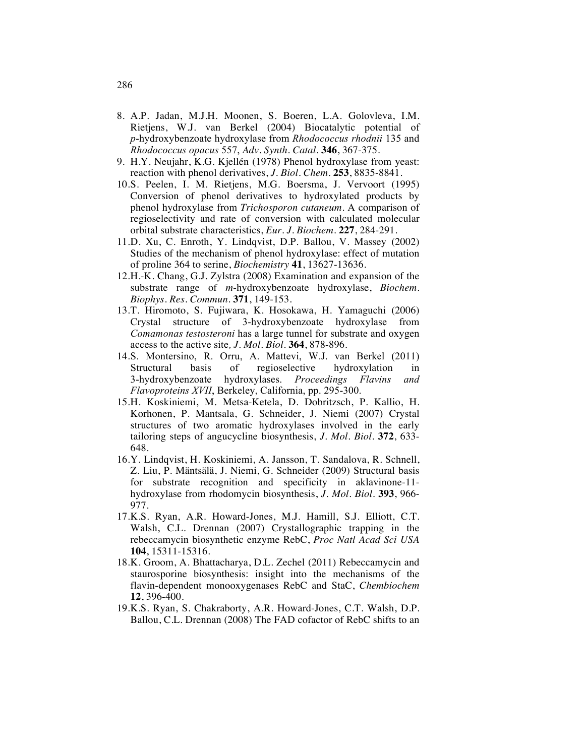- 8. A.P. Jadan, M.J.H. Moonen, S. Boeren, L.A. Golovleva, I.M. Rietjens, W.J. van Berkel (2004) Biocatalytic potential of *p*-hydroxybenzoate hydroxylase from *Rhodococcus rhodnii* 135 and *Rhodococcus opacus* 557, *Adv. Synth. Catal.* **346**, 367-375.
- 9. H.Y. Neujahr, K.G. Kjellén (1978) Phenol hydroxylase from yeast: reaction with phenol derivatives, *J. Biol. Chem.* **253**, 8835-8841.
- 10.S. Peelen, I. M. Rietjens, M.G. Boersma, J. Vervoort (1995) Conversion of phenol derivatives to hydroxylated products by phenol hydroxylase from *Trichosporon cutaneum*. A comparison of regioselectivity and rate of conversion with calculated molecular orbital substrate characteristics, *Eur. J. Biochem.* **227**, 284-291.
- 11.D. Xu, C. Enroth, Y. Lindqvist, D.P. Ballou, V. Massey (2002) Studies of the mechanism of phenol hydroxylase: effect of mutation of proline 364 to serine, *Biochemistry* **41**, 13627-13636.
- 12.H.-K. Chang, G.J. Zylstra (2008) Examination and expansion of the substrate range of *m*-hydroxybenzoate hydroxylase, *Biochem. Biophys. Res. Commun.* **371**, 149-153.
- 13.T. Hiromoto, S. Fujiwara, K. Hosokawa, H. Yamaguchi (2006) Crystal structure of 3-hydroxybenzoate hydroxylase from *Comamonas testosteroni* has a large tunnel for substrate and oxygen access to the active site*, J. Mol. Biol.* **364**, 878-896.
- 14.S. Montersino, R. Orru, A. Mattevi, W.J. van Berkel (2011) Structural basis of regioselective hydroxylation in 3-hydroxybenzoate hydroxylases. *Proceedings Flavins and Flavoproteins XVII*, Berkeley, California, pp. 295-300.
- 15.H. Koskiniemi, M. Metsa-Ketela, D. Dobritzsch, P. Kallio, H. Korhonen, P. Mantsala, G. Schneider, J. Niemi (2007) Crystal structures of two aromatic hydroxylases involved in the early tailoring steps of angucycline biosynthesis, *J. Mol. Biol.* **372**, 633- 648.
- 16.Y. Lindqvist, H. Koskiniemi, A. Jansson, T. Sandalova, R. Schnell, Z. Liu, P. Mäntsälä, J. Niemi, G. Schneider (2009) Structural basis for substrate recognition and specificity in aklavinone-11 hydroxylase from rhodomycin biosynthesis, *J. Mol. Biol.* **393**, 966- 977.
- 17.K.S. Ryan, A.R. Howard-Jones, M.J. Hamill, S.J. Elliott, C.T. Walsh, C.L. Drennan (2007) Crystallographic trapping in the rebeccamycin biosynthetic enzyme RebC, *Proc Natl Acad Sci USA* **104**, 15311-15316.
- 18.K. Groom, A. Bhattacharya, D.L. Zechel (2011) Rebeccamycin and staurosporine biosynthesis: insight into the mechanisms of the flavin-dependent monooxygenases RebC and StaC, *Chembiochem* **12**, 396-400.
- 19.K.S. Ryan, S. Chakraborty, A.R. Howard-Jones, C.T. Walsh, D.P. Ballou, C.L. Drennan (2008) The FAD cofactor of RebC shifts to an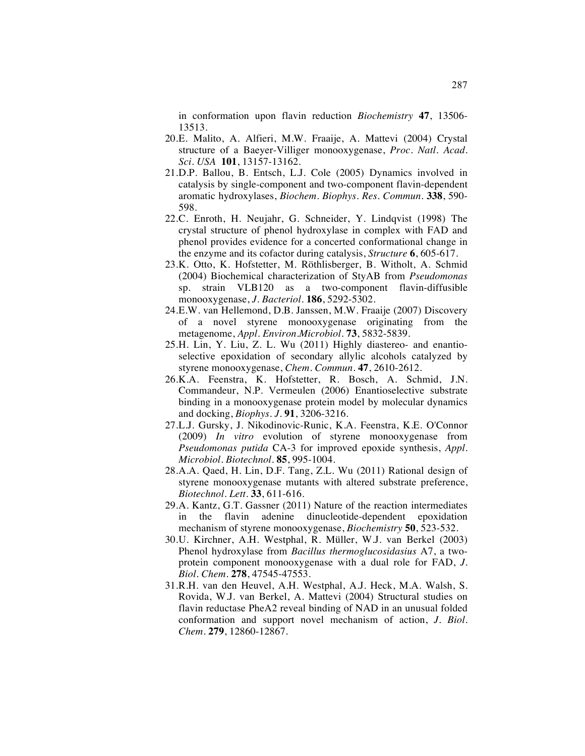in conformation upon flavin reduction *Biochemistry* **47**, 13506- 13513.

- 20.E. Malito, A. Alfieri, M.W. Fraaije, A. Mattevi (2004) Crystal structure of a Baeyer-Villiger monooxygenase, *Proc. Natl. Acad. Sci. USA* **101**, 13157-13162.
- 21.D.P. Ballou, B. Entsch, L.J. Cole (2005) Dynamics involved in catalysis by single-component and two-component flavin-dependent aromatic hydroxylases, *Biochem. Biophys. Res. Commun.* **338**, 590- 598.
- 22.C. Enroth, H. Neujahr, G. Schneider, Y. Lindqvist (1998) The crystal structure of phenol hydroxylase in complex with FAD and phenol provides evidence for a concerted conformational change in the enzyme and its cofactor during catalysis, *Structure* **6**, 605-617.
- 23.K. Otto, K. Hofstetter, M. Röthlisberger, B. Witholt, A. Schmid (2004) Biochemical characterization of StyAB from *Pseudomonas* sp. strain VLB120 as a two-component flavin-diffusible monooxygenase, *J. Bacteriol.* **186**, 5292-5302.
- 24.E.W. van Hellemond, D.B. Janssen, M.W. Fraaije (2007) Discovery of a novel styrene monooxygenase originating from the metagenome, *Appl. Environ.Microbiol.* **73**, 5832-5839.
- 25.H. Lin, Y. Liu, Z. L. Wu (2011) Highly diastereo- and enantioselective epoxidation of secondary allylic alcohols catalyzed by styrene monooxygenase, *Chem. Commun.* **47**, 2610-2612.
- 26.K.A. Feenstra, K. Hofstetter, R. Bosch, A. Schmid, J.N. Commandeur, N.P. Vermeulen (2006) Enantioselective substrate binding in a monooxygenase protein model by molecular dynamics and docking, *Biophys. J.* **91**, 3206-3216.
- 27.L.J. Gursky, J. Nikodinovic-Runic, K.A. Feenstra, K.E. O'Connor (2009) *In vitro* evolution of styrene monooxygenase from *Pseudomonas putida* CA-3 for improved epoxide synthesis, *Appl. Microbiol. Biotechnol.* **85**, 995-1004.
- 28.A.A. Qaed, H. Lin, D.F. Tang, Z.L. Wu (2011) Rational design of styrene monooxygenase mutants with altered substrate preference, *Biotechnol. Lett.* **33**, 611-616.
- 29.A. Kantz, G.T. Gassner (2011) Nature of the reaction intermediates in the flavin adenine dinucleotide-dependent epoxidation mechanism of styrene monooxygenase, *Biochemistry* **50**, 523-532.
- 30.U. Kirchner, A.H. Westphal, R. Müller, W.J. van Berkel (2003) Phenol hydroxylase from *Bacillus thermoglucosidasius* A7, a twoprotein component monooxygenase with a dual role for FAD, *J. Biol. Chem.* **278**, 47545-47553.
- 31.R.H. van den Heuvel, A.H. Westphal, A.J. Heck, M.A. Walsh, S. Rovida, W.J. van Berkel, A. Mattevi (2004) Structural studies on flavin reductase PheA2 reveal binding of NAD in an unusual folded conformation and support novel mechanism of action, *J. Biol. Chem.* **279**, 12860-12867.